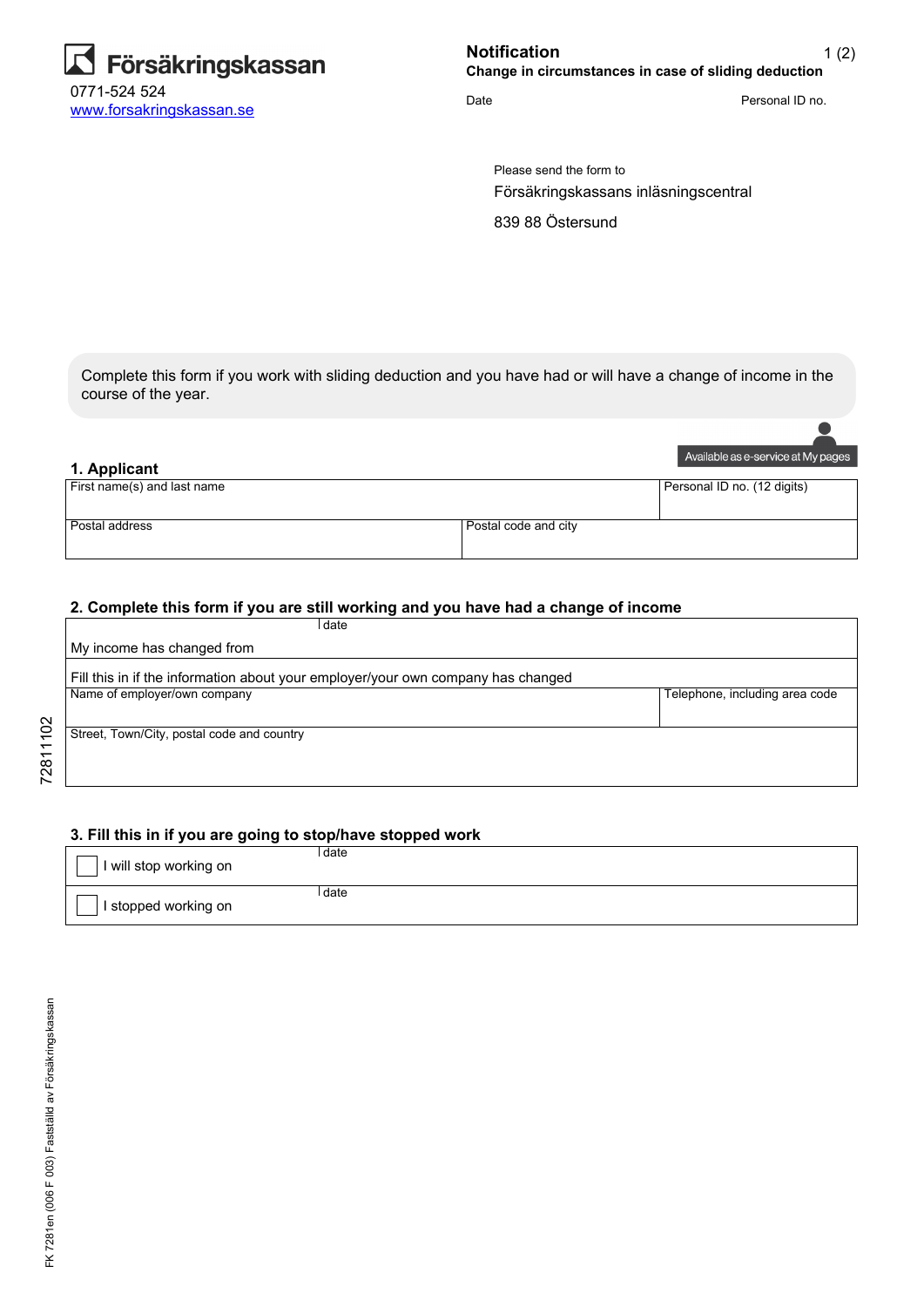

**Notification Change in circumstances in case of sliding deduction** 1 (2)

Date **Date** Personal ID no.

Försäkringskassans inläsningscentral Please send the form to

839 88 Östersund

Complete this form if you work with sliding deduction and you have had or will have a change of income in the course of the year.

# Available as e-service at My pages **1. Applicant** Personal ID no. (12 digits) First name(s) and last name Postal address Postal code and city

# **2. Complete this form if you are still working and you have had a change of income**

| date                                                                             |                                |  |  |  |
|----------------------------------------------------------------------------------|--------------------------------|--|--|--|
| My income has changed from                                                       |                                |  |  |  |
| Fill this in if the information about your employer/your own company has changed |                                |  |  |  |
| Name of employer/own company                                                     | Telephone, including area code |  |  |  |
|                                                                                  |                                |  |  |  |
| Street, Town/City, postal code and country                                       |                                |  |  |  |
|                                                                                  |                                |  |  |  |
|                                                                                  |                                |  |  |  |

# **3. Fill this in if you are going to stop/have stopped work**

| I will stop working on | date |
|------------------------|------|
|                        | date |
| I stopped working on   |      |

72811102

72811102